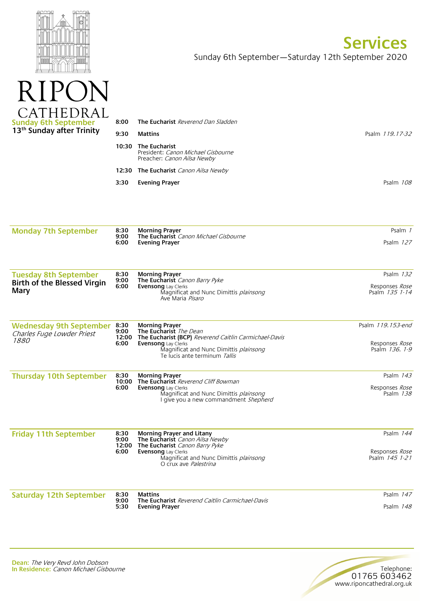

 $\mathbf{P}$ 

 $R$ 

 $\blacktriangleleft$ 

## **Services**  Sunday 6th September—Saturday 12th September 2020

| CATHEDRAL<br>Sunday 6th September<br>13 <sup>th</sup> Sunday after Trinity | 8:00  | <b>The Eucharist</b> Reverend Dan Sladden                                                        |                 |
|----------------------------------------------------------------------------|-------|--------------------------------------------------------------------------------------------------|-----------------|
|                                                                            | 9:30  | <b>Mattins</b>                                                                                   | Psalm 119.17-32 |
|                                                                            | 10:30 | <b>The Eucharist</b><br>President: <i>Canon Michael Gisbourne</i><br>Preacher: Canon Ailsa Newby |                 |
|                                                                            |       | <b>12:30 The Eucharist</b> Canon Ailsa Newby                                                     |                 |
|                                                                            | 3:30  | <b>Evening Prayer</b>                                                                            | Psalm 108       |
|                                                                            |       |                                                                                                  |                 |

| <b>Monday 7th September</b> | 8:30<br>9:00<br>6:00 | Morning Prayer<br>The Eucharist Canon Michael Gisbourne<br>Evening Prayer | Psalm i   |
|-----------------------------|----------------------|---------------------------------------------------------------------------|-----------|
|                             |                      |                                                                           | Psalm 127 |
|                             |                      |                                                                           |           |

| <b>Tuesday 8th September</b><br><b>Birth of the Blessed Virgin</b><br>Mary | 8:30<br>9:00<br>6:00 | Morning Praver<br><b>The Eucharist</b> Canon Barry Pyke<br><b>Evensong</b> Lay Clerks<br>Magnificat and Nunc Dimittis <i>plainsong</i><br>Ave Maria Pisaro | Psalm 132<br>Responses <i>Rose</i><br>Psalm 135 1-14 |
|----------------------------------------------------------------------------|----------------------|------------------------------------------------------------------------------------------------------------------------------------------------------------|------------------------------------------------------|
|----------------------------------------------------------------------------|----------------------|------------------------------------------------------------------------------------------------------------------------------------------------------------|------------------------------------------------------|

| <b>Wednesday 9th September</b><br>Charles Fuge Lowder Priest<br><i>1880</i> | 8:30<br>9:00<br>6:00 | <b>Morning Prayer</b><br>The Eucharist The Dean<br><b>12:00 The Eucharist (BCP)</b> Reverend Caitlin Carmichael-Davis<br><b>Evensong</b> Lay Clerks<br>Magnificat and Nunc Dimittis plainsong<br>Te lucis ante terminum Tallis | Psalm 119.153-end<br>Responses Rose<br>Psalm 136, 1-9 |
|-----------------------------------------------------------------------------|----------------------|--------------------------------------------------------------------------------------------------------------------------------------------------------------------------------------------------------------------------------|-------------------------------------------------------|
| <b>Thursday 10th September</b>                                              | 8:30                 | <b>Morning Prayer</b>                                                                                                                                                                                                          | Psalm 143                                             |

| Thursday Toth September | 0.JU | IVIUI IIIIIU FIAVEI                           | гэанн <i>т<del>ч</del>э</i> |
|-------------------------|------|-----------------------------------------------|-----------------------------|
|                         |      | 10:00 The Eucharist Reverend Cliff Bowman     |                             |
|                         | 6:00 | <b>Evensong</b> Lay Clerks                    | Responses <i>Rose</i>       |
|                         |      | Magnificat and Nunc Dimittis <i>plainsong</i> | Psalm 138                   |
|                         |      | I give you a new commandment <i>Shepherd</i>  |                             |
|                         |      |                                               |                             |

| <b>Friday 11th September</b>   | 8:30<br>9:00<br>12:00<br>6:00 | Morning Prayer and Litany<br>The Eucharist Canon Ailsa Newby<br>The Eucharist Canon Barry Pyke<br><b>Evensong</b> Lay Clerks<br>Magnificat and Nunc Dimittis plainsong<br>O crux ave <i>Palestrina</i> | Psalm 144<br>Responses Rose<br>Psalm 145 1-21 |
|--------------------------------|-------------------------------|--------------------------------------------------------------------------------------------------------------------------------------------------------------------------------------------------------|-----------------------------------------------|
| <b>Saturday 12th September</b> | 8:30<br>9:00                  | <b>Mattins</b><br>The Eucharist Reverend Caitlin Carmichael-Davis                                                                                                                                      | Psalm 147                                     |

**Evening Prayer**

**5:30**

Psalm 148

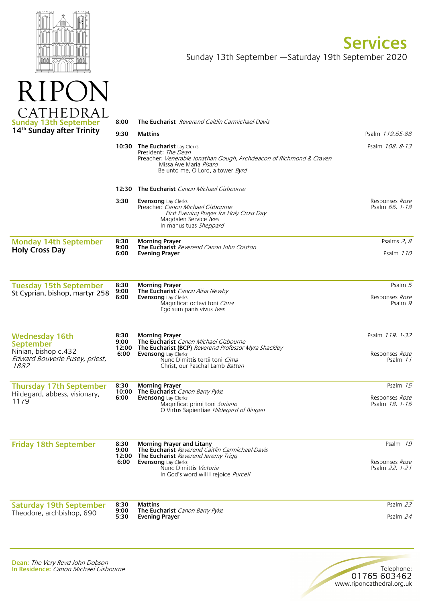

 $\sqrt{111}$ 

**Services**  Sunday 13th September —Saturday 19th September 2020

| AIHEDKAL<br><b>Sunday 13th September</b>                                           | 8:00                  | <b>The Eucharist</b> Reverend Caitlin Carmichael-Davis                                                                                                                                                  |                                         |
|------------------------------------------------------------------------------------|-----------------------|---------------------------------------------------------------------------------------------------------------------------------------------------------------------------------------------------------|-----------------------------------------|
| 14th Sunday after Trinity                                                          | 9:30                  | Mattins                                                                                                                                                                                                 | Psalm 119.65-88                         |
|                                                                                    | 10:30                 | The Eucharist Lay Clerks<br>President: <i>The Dean</i><br>Preacher: Venerable Jonathan Gough, Archdeacon of Richmond & Craven<br>Missa Ave Maria Pisaro<br>Be unto me, O Lord, a tower <i>Byrd</i>      | Psalm 108. 8-13                         |
|                                                                                    |                       | 12:30 The Eucharist Canon Michael Gisbourne                                                                                                                                                             |                                         |
|                                                                                    | 3:30                  | <b>Evensong</b> Lay Clerks<br>Preacher: Canon Michael Gisbourne<br>First Evening Prayer for Holy Cross Day<br>Magdalen Service /ves<br>In manus tuas Sheppard                                           | Responses Rose<br>Psalm 66. 1-18        |
| <b>Monday 14th September</b>                                                       | 8:30                  | <b>Morning Prayer</b>                                                                                                                                                                                   | Psalms 2, 8                             |
| <b>Holy Cross Day</b>                                                              | 9:00<br>6:00          | The Eucharist Reverend Canon John Colston<br><b>Evening Prayer</b>                                                                                                                                      | Psalm 110                               |
| <b>Tuesday 15th September</b>                                                      | 8:30                  | <b>Morning Prayer</b>                                                                                                                                                                                   | Psalm 5                                 |
| St Cyprian, bishop, martyr 258                                                     | 9:00<br>6:00          | The Eucharist Canon Ailsa Newby<br><b>Evensong</b> Lay Clerks<br>Magnificat octavi toni Cima<br>Ego sum panis vivus /ves                                                                                | Responses Rose<br>Psalm 9               |
| <b>Wednesday 16th</b>                                                              | 8:30                  | <b>Morning Prayer</b>                                                                                                                                                                                   | Psalm 119. 1-32                         |
| September<br>Ninian, bishop c.432<br>Edward Bouverie Pusey, priest,<br><i>1882</i> | 9:00<br>12:00<br>6:00 | The Eucharist Canon Michael Gisbourne<br>The Eucharist (BCP) Reverend Professor Myra Shackley<br><b>Evensong</b> Lay Clerks<br>Nunc Dimittis tertii toni Cima<br>Christ, our Paschal Lamb <i>Batten</i> | Responses Rose<br>Psalm 11              |
| <b>Thursday 17th September</b>                                                     | 8:30                  | <b>Morning Prayer</b>                                                                                                                                                                                   | Psalm 15                                |
| Hildegard, abbess, visionary,<br>1179                                              | 10:00<br>6:00         | The Eucharist Canon Barry Pyke<br><b>Evensong</b> Lay Clerks<br>Magnificat primi toni Soriano<br>O Virtus Sapientiae Hildegard of Bingen                                                                | Responses <i>Rose</i><br>Psalm 18. 1-16 |
| <b>Friday 18th September</b>                                                       | 8:30<br>9:00          | Morning Prayer and Litany<br><b>The Eucharist</b> Reverend Caitlin Carmichael-Davis                                                                                                                     | Psalm 19                                |
|                                                                                    | 6:00                  | <b>12:00 The Eucharist</b> Reverend Jeremy Trigg<br>Evensong Lay Clerks<br>Nunc Dimittis Victoria<br>In God's word will I rejoice Purcell                                                               | Responses Rose<br>Psalm 22. 1-21        |
| <b>Saturday 19th September</b>                                                     | 8:30                  | <b>Mattins</b>                                                                                                                                                                                          | Psalm 23                                |
| Theodore, archbishop, 690                                                          | 9:00<br>5:30          | The Eucharist Canon Barry Pyke<br><b>Evening Prayer</b>                                                                                                                                                 | Psalm 24                                |